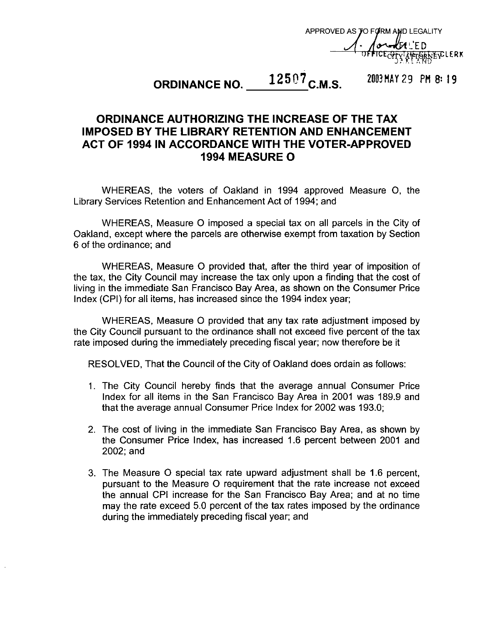APPROVED ASJO FYRM **AID** LEGALITY FD **ŢĠŖŖĔ**ŗĊĿĔŖĶ

# **12507 C.M.S. 2003 MAY 29 PM 8: 19 ORDINANCE NO. 12507 C.M.S.**

## **ORDINANCE AUTHORIZING THE INCREASE OF THE TAX IMPOSED BY THE LIBRARY RETENTION AND ENHANCEMENT 1994 MEASURE 0 ACT OF 1994 IN ACCORDANCE WITH THE VOTER-APPROVED**

WHEREAS, the voters of Oakland in 1994 approved Measure 0, the Library Services Retention and Enhancement Act of 1994; and

WHEREAS, Measure 0 imposed a special tax on all parcels in the City of Oakland, except where the parcels are otherwise exempt from taxation by Section 6 of the ordinance: and

WHEREAS, Measure 0 provided that, after the third year of imposition of the tax, the City Council may increase the tax only upon a finding that the cost of living in the immediate San Francisco Bay Area, as shown on the Consumer Price Index (CPI) for all items, has increased since the 1994 index year;

WHEREAS, Measure 0 provided that any tax rate adjustment imposed by the City Council pursuant to the ordinance shall not exceed five percent of the tax rate imposed during the immediately preceding fiscal year; now therefore be it

RESOLVED, That the Council of the City of Oakland does ordain as follows:

- 1. The City Council hereby finds that the average annual Consumer Price Index for all items in the San Francisco Bay Area in 2001 was 189.9 and that the average annual Consumer Price Index for 2002 was 193.0;
- 2. The cost of living in the immediate San Francisco Bay Area, as shown by the Consumer Price Index, has increased 1.6 percent between 2001 and 2002: and
- 3. The Measure 0 special tax rate upward adjustment shall be 1.6 percent, pursuant to the Measure 0 requirement that the rate increase not exceed the annual CPI increase for the San Francisco Bay Area: and at no time may the rate exceed 5.0 percent of the tax rates imposed by the ordinance during the immediately preceding fiscal year; and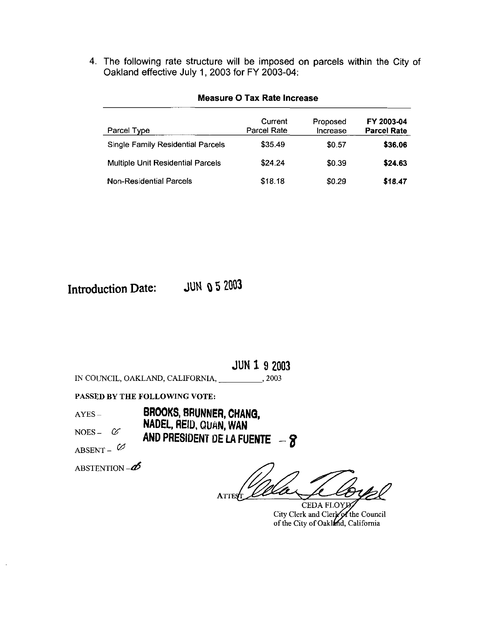4. The following rate structure will be imposed **on** parcels within the City of Oakland effective July 1,2003 for FY 2003-04:

| Parcel Type                              | Current<br>Parcel Rate | Proposed<br>Increase | FY 2003-04<br><b>Parcel Rate</b> |
|------------------------------------------|------------------------|----------------------|----------------------------------|
| <b>Single Family Residential Parcels</b> | \$35.49                | <b>SO 57</b>         | \$36.06                          |
| <b>Multiple Unit Residential Parcels</b> | \$24.24                | \$0.39               | \$24.63                          |
| Non-Residential Parcels                  | \$18.18                | \$0.29               | \$18.47                          |

### **Measure 0 Tax Rate Increase**

**Introduction Date: JUN o** *5* **2003** 

**JUN 1 9 2003**  IN COUNCIL, OAKLAND, CALIFORNIA,  $,2003$ 

PASSED **BY THE FOLLOWING VOTE:** 

- AYES **BROOKS, BRUNNER, CHANG,**
- **NADEL, REID, QUAN, WAN**

NOES –  $\alpha$  **AND PRESIDENT DE LA FUENTE** – **8** 

ABSENT -  $\varnothing$ 

ABSTENTION  $-\vec{\mathcal{D}}$ 

**ATIE** 

**CEDA FLOYJ** City Clerk and Clerk of the Council of the City of Oakland, California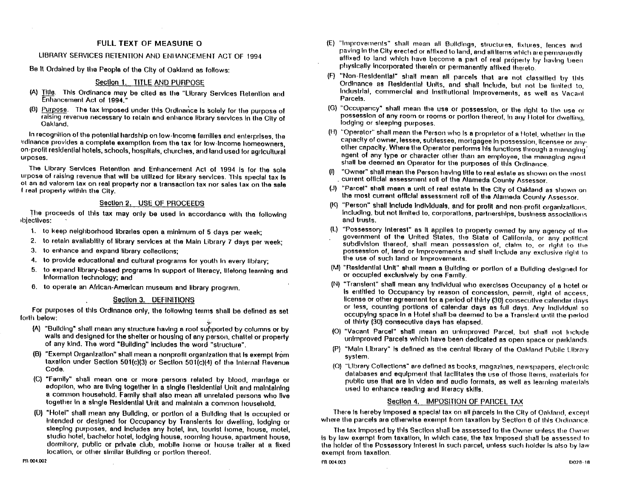#### **FULL TEXT OF MEASURE O**

#### LIBRARY SERVICES RETENTION AND ENHANCEMENT ACT OF 1994

Be It Ordained by the People of the City of Oakland as follows:

#### Section 1. TITLE AND PURPOSE

- (A) Title. This Ordinance may be cited as the "Library Services Retention and Enhancement Act of 1994."
- (B) Purpose. The tax imposed under this Ordinance is solely for the purpose of raising revenue necessary to retain and enhance library services in the City of Oakland.

In recognition of the potential hardship on low-income families and enterprises, the irdinance provides a complete exemption from the tax for low-income homeowners, on-profit residential hotels, schools, hospitals, churches, and land used for agricultural urposes.

The Library Services Retention and Enhancement Act of 1994 is for the sole urpose of raising revenue that will be utilized for library services. This special tax is ot an ad valorem tax on real property nor a transaction tax nor sales tax on the sale f real property within the City.

#### Section 2. USE OF PROCEEDS

The proceeds of this tax may only be used in accordance with the following ibjectives:

- 1. to keep neighborhood libraries open a minimum of 5 days per week;
- 2. to retain availability of library services at the Main Library 7 days per week;
- $3.$ to enhance and expand library collections:
- $\ddot{a}$ . to provide educational and cultural programs for youth in every library;
- to expand library-based programs in support of literacy, lifelong learning and 5. Information technology; and
- 6. to operate an African-American museum and library program.

#### Section 3. DEFINITIONS

For purposes of this Ordinance only, the following terms shall be defined as set forth below:

- $(A)$ "Bullding" shall mean any structure having a roof supported by columns or by walls and designed for the shelter or housing of any person, chattel or property of any kind. The word "Building" includes the word "structure".
- (B) "Exempt Organization" shall mean a nonprofit organization that is exempt from taxation under Section 501(c)(3) or Section 501(c)(4) of the Internal Revenue Code.
- (C) "Family" shall mean one or more persons related by blood, marriage or adoption, who are living together in a single Residential Unit and maintaining a common household. Family shall also mean all unrelated persons who live together in a single Residential Unit and maintain a common household.
- (D) "Hotel" shall mean any Building, or portion of a Building that is occupied or Intended or designed for Occupancy by Translents for dwelling, lodging or sleeping purposes, and includes any hotel, inn, tourist home, house, motel, studio hotel, bachelor hotel, lodging house, rooming house, apartment house. dormitory, public or private club, mobile home or house trailer at a fixed location, or other similar Building or portion thereof.
- (E) "Improvements" shall mean all Buildings, structures, fixtures, fences and paving in the City erected or affixed to land, and all items which are permanently affixed to land which have become a part of real property by having been physically incorporated therein or permanently affixed thereto.
- (F) "Non-Residential" shall mean all parcels that are not classified by this Ordinance as Residential Units, and shall include, but not be limited to, Industrial, commercial and institutional improvements, as well as Vacant Parcels.
- (G) "Occupancy" shall mean the use or possession, or the right to the use or possession of any room or rooms or portion thereof, in any Hotel for dwelling, lodging or sleeping purposes.
- (FI) "Operator" shall mean the Person who is a proprietor of a Hotel, whether in the capacity of owner, lessee, sublessee, mortgagee in possession, licensee or any other capacity. Where the Operator performs his functions through a managing noent of any type or character other than an employee, the managing agent shall be deemed an Operator for the purposes of this Ordinance.
- "Owner" shall mean the Person having title to real estate as shown on the most  $(n)$ current official assessment roll of the Alameda County Assessor.
- (J) "Parcel" shall mean a unit of real estate in the City of Oakland as shown on the most current official assessment roll of the Alameda County Assessor.
- "Person" shall include individuals, and for profit and non-profit organizations. including, but not limited to, corporations, partnerships, business associations and trusts.
- (L) "Possessory Interest" as It applies to property owned by any agency of the government of the United States, the State of California, or any political subdivision thereof, shall mean possession of, claim to, or right to the possession of, land or improvements and shall include any exclusive right to the use of such land or Improvements.
- (M) "Residential Unit" shall mean a Building or portion of a Building designed for or occupied exclusively by one Family.
- (N) "Translent" shall mean any individual who exercises Occupancy of a hotel or is entitled to Occupancy by reason of concession, permit, right of access, license or other agreement for a period of thirty (30) consecutive catendar days or less, counting portions of calendar days as full days. Any individual so occupying space in a Hotel shall be deemed to be a Translent until the period of thirty (30) consecutive days has elapsed.
- (O) "Vacant Parcel" shall mean an unimproved Parcel, but shall not include unimproved Parcels which have been dedicated as open space or parklands.
- (P) "Main Library" is defined as the central library of the Oakland Public Library system.
- (Q) "Library Collections" are defined as books, magazines, newspapers, electronic databases and equipment that facilitates the use of those items, materials for public use that are in video and audio formats, as well as learning materials. used to enhance reading and literacy skills.

#### Section 4. IMPOSITION OF PARCEL TAX

There is hereby imposed a special tax on all parcels in the City of Oakland, except where the parcels are otherwise exempt from taxation by Section 6 of this Ordinance

The tax Imposed by this Section shall be assessed to the Owner unless the Owner is by law exempt from taxation, in which case, the tax imposed shall be assessed to the holder of the Possessory Interest in such parcel, unless such holder is also by law exempt from taxation.

PR-004.003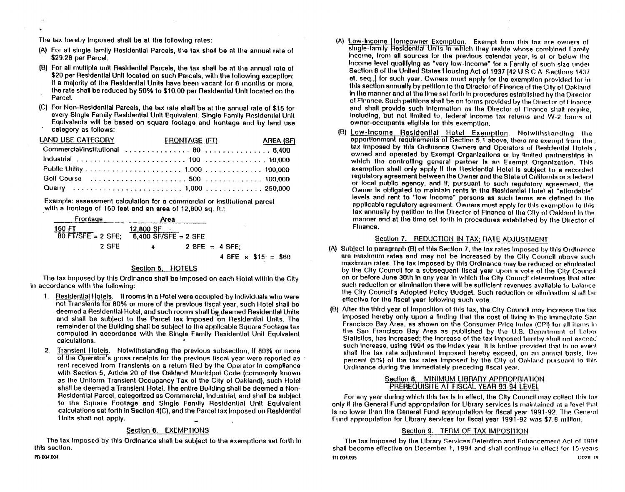The tax hereby imposed shall be at the following rates:

- (A) For all single family Residential Parcels, the tax shall be at the annual rate of \$29.28 per Parcel.
- (B) For all multiple unit Residential Parcels, the tax shall be at the annual rate of \$20 per Residential Unit located on such Parcels, with the following exception: If a majority of the Residential Units have been vacant for 6 months or more. the rate shall be reduced by 50% to \$10.00 per Residential Unit located on the Parcel.
- (C) For Non-Residential Parcels, the tax rate shall be at the annual rate of \$15 for every Single Family Residential Unit Equivalent. Single Family Residential Unit Equivalents will be based on square footage and frontage and by land use category as follows:

| LAND USE CATEGORY | <b>FRONTAGE (FT)</b> | <b>AREA (SF)</b> |
|-------------------|----------------------|------------------|
|                   |                      |                  |
|                   |                      |                  |
|                   |                      |                  |
|                   |                      |                  |
|                   |                      |                  |

Example: assessment calculation for a commercial or institutional parcel with a frontage of 160 feet and an area of 12,800 sq. ft.:

| Frontage                                             | Area                 |  |                              |  |  |
|------------------------------------------------------|----------------------|--|------------------------------|--|--|
| 160 FT                                               | 12,800 SF            |  |                              |  |  |
| 80 FT/SFE = 2 SFE; $\overline{6,400}$ SF/SFE = 2 SFE |                      |  |                              |  |  |
| 2 SFF                                                | $\ddot{\phantom{1}}$ |  | $2$ SFE = 4 SFE:             |  |  |
|                                                      |                      |  | $4$ SFE $\times$ \$15 = \$60 |  |  |

#### Section 5. HOTELS

The tax imposed by this Ordinance shall be imposed on each Hotel within the City In accordance with the following:

- 1. Residential Hotels. If rooms in a Hotel were occupied by individuals who were not Translents for 80% or more of the previous fiscal year, such Hotel shall be deemed a Residential Hotel, and such rooms shall be deemed Residential Units and shall be subject to the Parcel tax Imposed on Residential Units. The remainder of the Building shall be subject to the applicable Square Footage tax computed in accordance with the Single Family Residential Unit Equivalent calculations.
- $2<sub>1</sub>$ Translent Hotels. Notwithstanding the previous subsection, if 80% or more of the Operator's gross receipts for the previous fiscal year were reported as rent received from Translents on a return filed by the Operator in compliance with Section 5, Article 20 of the Oakland Municipal Code (commonly known as the Uniform Translent Occupancy Tax of the City of Oakland), such Hotel shall be deemed a Transient Hotel. The entire Building shall be deemed a Non-Residential Parcel, categorized as Commercial, Industrial, and shall be subject to the Square Footage and Single Family Residential Unit Equivalent calculations set forth in Section 4(C), and the Parcel tax imposed on Residential Units shall not apply.

#### Section 6. EXEMPTIONS

The tax imposed by this Ordinance shall be subject to the exemptions set forth in this section.

- Low-lincome Homeowner Exemption. Exempt from this tax are owners of single-family Residential Units in which they reside whose combined Family Income, from all sources for the previous calendar year, is at or below the Income level qualifying as "very low-income" for a Family of such size under Section 8 of the United States Housing Act of 1937 [42 U.S.C.A. Sections 1437 et. seq.,) for such year. Owners must apply for the exemption provided for in this section annually by petition to the Director of Finance of the City of Oakland In the manner and at the time set forth in procedures established by the Director of Finance. Such petitions shall be on forms provided by the Director of Finance and shall provide such information as the Director of Finance shall require, including, but not limited to, federal income tax returns and W-2 forms of owner-occupants eligible for this exemption.
- (B) Low-Income Residential Hotel Exemption. Notwithstanding the apportionment requirements of Section 5.1 above, there are exempt from the. tax Imposed by this Ordinance Owners and Operators of Residential Hotels, owned and operated by Exempt Organizations or by limited partnerships in which the controlling general partner is an Exempt Organization. This exemption shall only apply if the Residential Hotel is subject to a recorded regulatory agreement between the Owner and the State of California or a federal or local public agency, and if, pursuant to such regulatory agreement. The Owner is obligated to maintain rents in the Residential Hotel at "affordable" levels and rent to "low Income" persons as such terms are defined in the applicable regulatory agreement. Owners must apply for this exemption to this tax annually by petition to the Director of Finance of the City of Oakland in the manner and at the time set forth in procedures established by the Director of Finance.

#### Section 7. REDUCTION IN TAX; RATE ADJUSTMENT

- (A) Subject to paragraph (B) of this Section 7, the tax rates imposed by this Ordinance are maximum rates and may not be increased by the City Council above such maximum rates. The tax imposed by this Ordinance may be reduced or eliminated by the City Council for a subsequent fiscal year upon a vote of the City Council on or before June 30th in any year in which the City Council determines that after such reduction or elimination there will be sufficient revenues available to balance the City Council's Adopted Policy Budget. Such reduction or elimination shall be effective for the fiscal year following such vote.
- (B) After the third year of imposition of this tax, the City Council may increase the tax Imposed hereby only upon a finding that the cost of living in the immediate San Francisco Bay Area, as shown on the Consumer Price Index (CPI) for all items in the San Francisco Bay Area as published by the U.S. Department of Labor Statistics, has increased; the increase of the tax imposed hereby shall not exceed such Increase, using 1994 as the Index year. It is further provided that in no event shall the tax rate adjustment imposed hereby exceed, on an annual basis, five percent (5%) of the tax rates imposed by the City of Oakland pursuant to this Ordinance during the Immediately preceding fiscal year.

#### Section 8. MINIMUM LIBRARY APPROPRIATION **PREREQUISITE AT FISCAL YEAR 93-94 LEVEL**

For any year during which this tax is in effect, the City Council may collect this tax only if the General Fund appropriation for Library services is maintained at a level that Is no lower than the General Fund appropriation for fiscal year 1991-92. The General Fund appropriation for Library services for fiscal year 1991-92 was \$7.8 million.

#### Section 9. TERM OF TAX IMPOSITION

The lax imposed by the Library Services Retention and Enhancement Act of 1994 shall become effective on December 1, 1994 and shall continue in effect for 15-years PR-004.005 D028-19

PR-004.004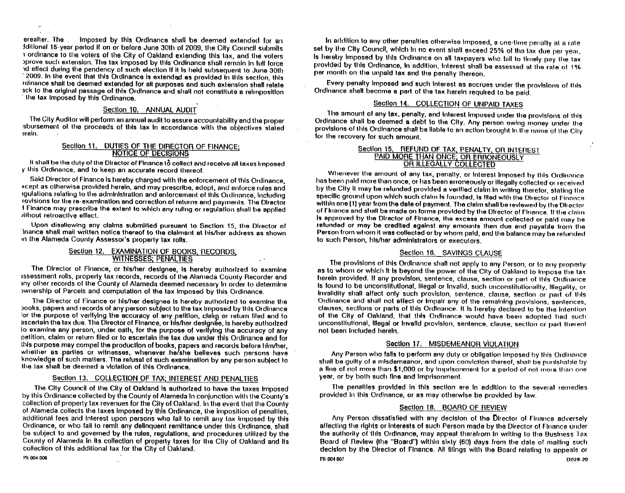ereafter. The ... Imposed by this Ordinance shall be deemed extended for an fditional 15-year period if on or before June 30th of 2009, the City Council submits i ordinance to the voters of the City of Oakland extending this tax, and the voters oprove such extension. The tax imposed by this Ordinance shall remain in full force id effect during the pendency of such election if it is held subsequent to June 30th 2009. In the event that this Ordinance is extended as provided in this section, this rdinance shall be deemed extended for all purposes and such extension shall relate ack to the original passage of this Ordinance and shall not constitute a reimposition the tax imposed by this Ordinance.

#### Section 10. ANNUAL AUDIT

The City Auditor will perform an annual audit to assure accountability and the proper sbursement of the proceeds of this tax in accordance with the objectives stated erein.

#### Section 11. DUTIES OF THE DIRECTOR OF FINANCE: NOTICE OF DECISIONS

It shall be the duty of the Director of Finance to collect and receive all taxes imposed y this Ordinance, and to keep an accurate record thereof.

Said Director of Finance is hereby charged with the enforcement of this Ordinance. xcept as otherwise provided herein, and may prescribe, adopt, and enforce rules and agulations relating to the administration and enforcement of this Ordinance, including rovisions for the re-examination and correction of returns and payments. The Director I Finance may prescribe the extent to which any ruling or regulation shall be applied *illhout* retroactive effect.

Upon disallowing any claims submitted pursuant to Section 15, the Director of inance shall mail written notice thereof to the claimant at his/her address as shown in the Alameda County Assessor's property tax rolls.

#### Section 12. EXAMINATION OF BOOKS, RECORDS, **WITNESSES: PENALTIES**

The Director of Finance, or his/her designee, is hereby authorized to examine issessment rolls, property tax records, records of the Alameda County Recorder and iny other records of the County of Alameda deemed necessary in order to determine ownership of Parcels and computation of the tax imposed by this Ordinance.

The Director of Finance or his/her designee is hereby authorized to examine the books, papers and records of any person subject to the tax imposed by this Ordinance for the purpose of verifying the accuracy of any petition, cialing or return filed and to ascertain the lax due. The Director of Finance, or his/her designee, is hereby authorized to examine any person, under oath, for the purpose of verifying the accuracy of any petition, claim or return filed or to ascertain the tax due under this Ordinance and for this purpose may compel the production of books, papers and records before him/her, whether as parties or witnesses, whenever he/she believes such persons have knowledge of such matters. The refusal of such examination by any person subject to the tax shall be deemed a violation of this Ordinance

#### Section 13. COLLECTION OF TAX; INTEREST AND PENALTIES

The City Council of the City of Oakland is authorized to have the taxes imposed by this Ordinance collected by the County of Alameda In conjunction with the County's collection of property tax revenues for the City of Oakland. In the event that the County of Alameda collects the taxes imposed by this Ordinance, the imposition of penalties, additional fees and interest upon persons who fail to remit any tax imposed by this Ordinance, or who fail to remit any delinquent remittance under this Ordinance, shall be subject to and governed by the rules, regulations, and procedures utilized by the County of Alameda in its collection of property taxes for the City of Oakland and its collection of this additional tax for the City of Oakland,

 $\bar{\mathcal{A}}$ 

In addition to any other penalties otherwise imposed, a one-time penalty at a rate set by the City Council, which in no event shall exceed 25% of the tax due per year, Is hereby imposed by this Ordinance on all taxpayers who fail to timely pay the tax provided by this Ordinance, in addition, interest shall be assessed at the rate of 1% per month on the unpaid tax and the penalty thereon.

Every penalty imposed and such interest as accrues under the provisions of this Ordinance shall become a part of the tax herein required to be paid.

#### Section 14. COLLECTION OF UNPAID TAXES

The amount of any tax, penalty, and interest imposed under the provisions of this Ordinance shall be deemed a debt to the City. Any person owing money under the provisions of this Ordinance shall be liable to an action brought in the name of the City for the recovery for such amount.

#### Section 15. REFUND OF TAX, PENALTY, OR INTEREST PAID MORE THAN ONCE: OR ERRONEOUSLY OR ILLEGALLY COLLECTED

Whenever the amount of any tax, penalty, or Interest Imposed by this Ordinance has been paid more than once, or has been erroneously or illegally collected or received by the City It may be refunded provided a verified claim in writing therefor, stating the specific ground upon which such claim is founded, is filed with the Director of Finance within one (1) year from the date of payment. The claim shall be reviewed by the Director of Finance and shall be made on forms provided by the Director of Finance. If the claim Is approved by the Director of Finance, the excess amount collected or paid may be refunded or may be credited against any amounts then due and payable from the Person from whom it was collected or by whom paid, and the balance may be refunded to such Person, his/her administrators or executors.

#### Section 16. SAVINGS CLAUSE

The provisions of this Ordinance shall not apply to any Person, or to any property as to whom or which it is beyond the power of the City of Oakland to impose the tax herein provided. If any provision, sentence, clause, section or part of this Ordinance Is found to be unconstitutional, lilegal or invalid, such unconstitutionality, illegality, or invalidity shall affect only such provision, sentence, clause, section or part of this Ordinance and shall not affect or impair any of the remaining provisions, sentences, clauses, sections or parts of this Ordinance. It is hereby declared to be the intention of the City of Oakland, that this Ordinance would have been adopted had such unconstitutional, illegal or invalid provision, sentence, clause, section or part thereof not been included herein.

#### Section 17. MISDEMEANOR VIOLATION

Any Person who falls to perform any duty or obligation imposed by this Ordinance shall be quilty of a misdemeanor, and upon conviction thereof, shall be punishable by a fine of not more than \$1,000 or by imprisonment for a period of not more than one vear, or by both such fine and imprisonment.

The penaltles provided in this section are in addition to the several remedies provided in this Ordinance, or as may otherwise be provided by law.

#### Section 18. BOARD OF REVIEW

Any Person dissatisfied with any decision of the Director of Finance adversely affecting the rights or interests of such Person made by the Director of Finance under the authority of this Ordinance, may appeal therefrom in writing to the Business Tax Board of Review (the "Board") within sixty (60) days from the date of mailing such decision by the Director of Finance. All filings with the Board relating to appeals or

PR-004.006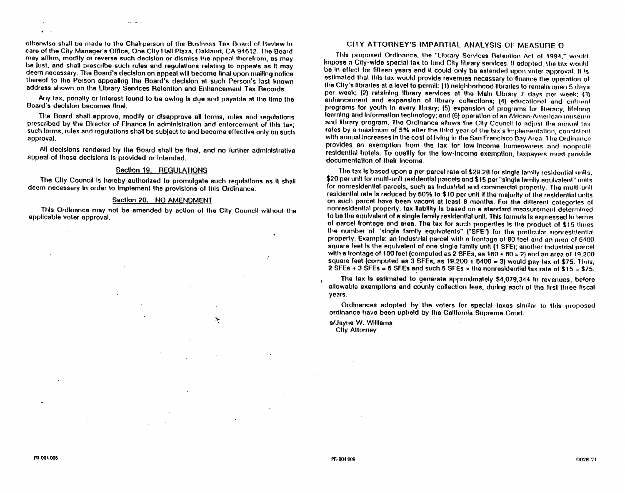otherwise shall be made to the Chairperson of the Business Tax Board of Review in care of the City Manager's Office, One City Hall Plaza, Oakland, CA 94612. The Board may affirm, modify or reverse such decision or dismiss the appeal therefrom, as may be just, and shall prescribe such rules and regulations relating to appeals as it may deem necessary. The Board's decision on appeal will become final upon mailing notice thereof to the Person appealing the Board's decision at such Person's last known address shown on the Library Services Retention and Enhancement Tax Records.

Any tax, penalty or interest found to be owing is due and payable at the time the Board's decision becomes final.

The Board shall approve, modify or disapprove all forms, rules and regulations prescribed by the Director of Finance In administration and enforcement of this tax; such forms, rules and regulations shall be subject to and become effective only on such approval.

All decisions rendered by the Board shall be final, and no further administrative appeal of these decisions is provided or intended.

#### Section 19. REGULATIONS

The City Council is hereby authorized to promulgate such regulations as it shall deem necessary in order to implement the provisions of this Ordinance.

#### Section 20. NO AMENDMENT

This Ordinance may not be amended by action of the City Council without the applicable voter approval.

 $\mu$ 

#### CITY ATTORNEY'S IMPARTIAL ANALYSIS OF MEASURE O

This proposed Ordinance, the "Library Services Retention Act of 1994," would Impose a City-wide special tax to fund City library services. If adopted, the tax would be in effect for fifteen years and it could only be extended upon voter approval. It is estimated that this tax would provide reventies necessary to finance the operation of the City's libraries at a level to permit: (1) neighborhood libraries to remain open 5 days per week; (2) relaining library services at the Main Library 7 days per week; (3) enhancement and expansion of library collections; (4) educational and cultural programs for youth in every library; (5) expansion of programs for literacy, lifelong learning and information technology; and (6) operation of an African-American intiseum and library program. The Ordinance allows the City Council to adjust the annual tax rates by a maximum of 5% after the third year of the tax's implementation, consistent with annual increases in the cost of living in the San Francisco Bay Area. The Ordinance provides an exemption from the tax for low-income homeowners and nonprofit residential hotels. To qualify for the low-income exemption, taxpayers must provide documentation of their income.

The lax is based upon a per parcel rate of \$29.28 for single family residential units. \$20 per unit for multi-unit residential parcels and \$15 per "single lamily equivalent" units for nonresidential parcels, such as industrial and commercial property. The multi-unit residential rate is reduced by 50% to \$10 per unit if the majority of the residential units on such parcel have been vacant at least 6 months. For the different categories of nonresidential property, tax liability is based on a standard measurement determined to be the equivalent of a single family residential unit. This formula is expressed in terms of parcel frontage and area. The tax for such properties is the product of \$15 times the number of "single family equivalents" ("SFE") for the particular nonresidential property. Example: an industrial parcel with a frontage of 80 feet and an area of 6400 square feet is the equivalent of one single family unit (1 SFE); another industrial parcel with a frontage of 160 feet (computed as 2 SFEs, as  $160 + 80 = 2$ ) and an area of 19,200 square feet (computed as 3 SFEs, as  $19,200 + 6400 = 3$ ) would pay tax of \$75. Thus, 2 SFEs + 3 SFEs = 5 SFEs and such 5 SFEs x the nonresidential lax rate of \$15 = \$75.

The tax is estimated to generate approximately \$4,079,344 in revenues, before allowable exemptions and county collection fees, during each of the first three fiscal years.

Ordinances adopted by the voters for special taxes similar to this proposed ordinance have been upheld by the California Supreme Court.

s/Jayne W. Williams **Cliv Attorney**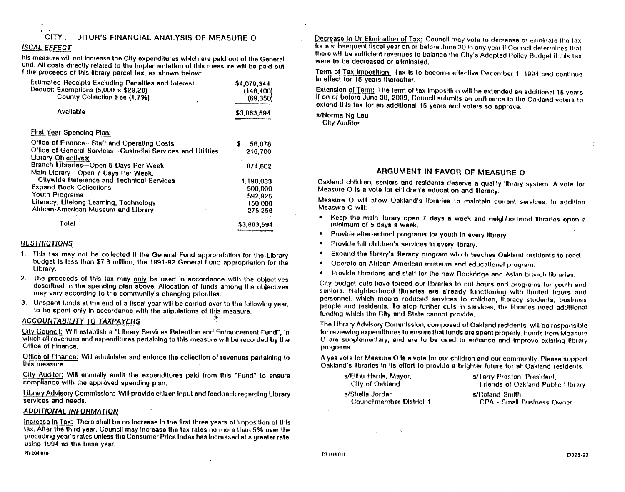#### JITOR'S FINANCIAL ANALYSIS OF MEASURE O **CITY**

#### **ISCAL EFFECT**

his measure will not increase the City expenditures which are paid out of the General und. All costs directly related to the implementation of this measure will be paid out I the proceeds of this library parcel tax, as shown below:

| <b>Estimated Receipts Excluding Penalties and Interest</b><br>Deduct: Exemptions $(5,000 \times $29.28)$ | \$4,079,344<br>(146, 400) |
|----------------------------------------------------------------------------------------------------------|---------------------------|
| County Collection Fee (1.7%)                                                                             | (69, 350)                 |
| Available                                                                                                | \$3,863,594               |
| <b>First Year Spending Plan:</b>                                                                         |                           |
| Office of Finance-Staff and Operating Costs                                                              | S<br>56,078               |
| Office of General Services-Custodial Services and Utilities                                              | 216,700                   |
| Library Objectives:                                                                                      |                           |
| Branch Librarles-Open 5 Days Per Week                                                                    | 874,602                   |
| Main Library-Open 7 Days Per Week,                                                                       |                           |
| <b>Citywide Reference and Technical Services</b>                                                         | 1,198,033                 |
| <b>Expand Book Collections</b>                                                                           | 500,000                   |
| Youth Programs                                                                                           | 592,925                   |
| Literacy, Lifelong Learning, Technology                                                                  | 150,000                   |
| Alrican-American Museum and Library                                                                      | 275,256                   |
| Total                                                                                                    | \$3.863.594               |

#### **RESTRICTIONS**

- 1. This tax may not be collected if the General Fund appropriation for the Library budget is less than \$7.8 million, the 1991-92 General Fund appropriation for the Library.
- 2. The proceeds of this tax may only be used in accordance with the objectives described in the spending plan above. Allocation of funds among the objectives may vary according to the community's changing priorities.
- 3. Unspent funds at the end of a fiscal year will be carried over to the following year. to be spent only in accordance with the stipulations of this measure.

#### **ACCOUNTABILITY TO TAXPAYERS**

City Council; Will establish a "Library Services Retention and Enhancement Fund", In which all revenues and expenditures pertaining to this measure will be recorded by the Office of Finance.

Office of Finance: Will administer and enforce the collection of revenues pertaining to this measure.

City Auditor; Will ennually audit the expenditures paid from this "Fund" to ensure compliance with the approved spending plan.

Library Advisory Commission: Will provide citizen input and feedback regarding Library services and needs.

#### **ADDITIONAL INFORMATION**

Increase in Tax: There shall be no increase in the first three years of imposition of this tax. After the third year, Council may increase the tax rates no more than 5% over the preceding year's rates unless the Consumer Price Index has increased at a greater rate. using 1994 as the base year.

Decrease In Or Elimination of Tax: Council may vote to decrease or enninate the tax for a subsequent fiscal year on or before June 30 In any year if Council determines that there will be sufficient revenues to balance the City's Adopted Policy Budget if this tax were to be decreased or eliminated.

Term of Tax Imposition: Tax is to become effective December 1, 1994 and continue In ellect for 15 years thereafter.

Extension of Term: The term of tax imposition will be extended an additional 15 years If on or before June 30, 2009, Council submits an ordinance to the Oakland voters to extend this tax for an additional 15 years and voters so approve.

s/Norma No Lau **City Auditor** 

#### ARGUMENT IN FAVOR OF MEASURE O

Oakland children, seniors and residents deserve a quality library system. A vote for Measure O Is a vote for children's education and literacy.

Measure O will allow Oakland's libraries to maintain current services. In addition Measure O will:

- Keep the main library open 7 days a week and neighborhood libraries open a minimum of 5 days a week.
- Provide after-school programs for youth in every library.
- Provide full children's services in every library.
- Expand the library's literacy program which teaches Oakland residents to read.
- Operate an African American museum and educational program.
- Provide librarians and staff for the new Rockridge and Asian branch libraries.

City budget cuts have forced our libraries to cut hours and programs for youth and seniors. Neighborhood libraries are already functioning with limited hours and personnel, which means reduced services to children, literacy students, business people and residents. To stop further cuts in services, the libraries need additional funding which the City and State cannot provide.

The Library Advisory Commission, composed of Oakland residents, will be responsible for reviewing expenditures to ensure that funds are spent properly. Funds from Measure O are supplementary, and are to be used to enhance and improve existing library programs.

A yes vote for Measure O is a vote for our children and our community. Please support Oakland's libraries in its effort to provide a brighter future for all Oakland residents.

| s/Ellhu Harris, Mayor,   | s/Terry Preston, President,              |
|--------------------------|------------------------------------------|
| City of Oakland          | <b>Friends of Oakland Public Library</b> |
| s/Shella Jordan          | s/Roland Smith                           |
| Councilmember District 1 | <b>CPA - Small Business Owner</b>        |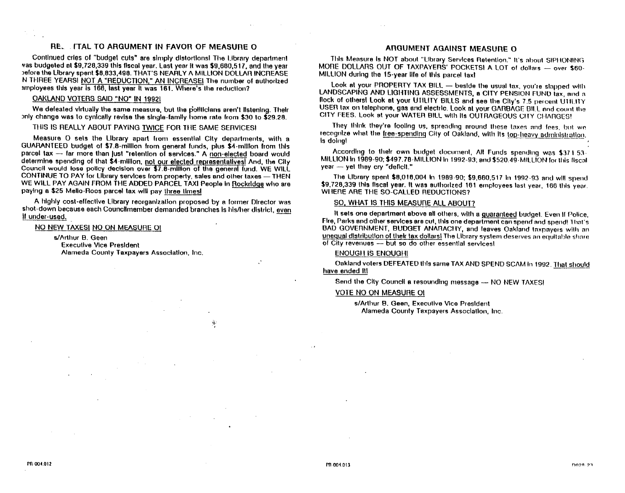#### RE. ITAL TO ARGUMENT IN FAVOR OF MEASURE O

Continued cries of "budget cuts" are simply distortions! The ilibrary department yas budgeted at \$9,728,339 this fiscal year. Last year it was \$9,680.517, and the year before the Library spent \$8,833,498. THAT'S NEARLY A MILLION DOLLAR INCREASE N THREE YEARS! NOT A "REDUCTION," AN INCREASE! The number of authorized amployees this year is 166, last year it was 161. Where's the reduction?

#### **OAKLAND VOTERS SAID "NO" IN 19921**

We defeated virtually the same measure, but the politicians aren't listening. Their only change was to cynically revise the single-family home rate from \$30 to \$29.28.

THIS IS REALLY ABOUT PAYING TWICE FOR THE SAME SERVICES!

Measure O sets the Library apart from essential City departments, with a GUARANTEED budget of \$7.8-million from general funds, plus \$4-million from this parcel tax --- far more than just "retention of services." A non-elected board would determine spending of that \$4-million, not our elected representatives! And, the City Council would lose policy decision over \$7.8-million of the general fund. WE WILL CONTINUE TO PAY for Library services from property, sales and other taxes - THEN WE WILL PAY AGAIN FROM THE ADDED PARCEL TAXI People in Rockridge who are paying a \$25 Mello-Roos parcel tax will pay three timest

A highly cost-effective Library reorganization proposed by a former Director was shot-down because each Councilmember demanded branches is his/her district, even If under-used.

#### NO NEW TAXESI NO ON MEASURE OI

s/Arthur B. Geen **Execulive Vice President** Alameda County Taxpayers Association, Inc.

#### ANGUMENT AGAINST MEASURE O

This Measure is NOT about "Library Services Retention." It's about SIPHONING MORE DOLLARS OUT OF TAXPAYERS' POCKETS! A LOT of dollars - over \$60-MILLION during the 15-year life of this parcel taxt

Look at your PROPERTY TAX BILL - beside the usual tax, you're slapped with LANDSCAPING AND LIGHTING ASSESSMENTS, a CITY PENSION FUND lax, and a flock of others! Look at your UTILITY BILLS and see the Clty's 7.5 percent UTILITY USER lax on telephone, gas and electric, Look at your GARBAGF BILL and count the CITY FEES. Look at your WATER BILL with its OUTRAGEOUS CITY CHARGES!

They think they're fooling us, spreading around these taxes and lees, but we recognize what the free-spending City of Oakland, with its top-heavy administration, Is dolnot

According to their own budget document, All Funds spending was \$371.53-MILLION in 1989-90; \$497.78-MILLION in 1992-93; and \$520.49-MILLION for this fiscal year - yet they cry "deficit."

The Library spent \$8,016,004 in 1989-90; \$9,660,517 in 1992-93 and will spend \$9.728.339 this fiscal year. It was authorized 161 employees last year, 166 this year. WHERE ARE THE SO-CALLED REDUCTIONS?

#### SO, WHAT IS THIS MEASURE ALL ABOUT?

It sets one department above all others, with a guaranteed budget. Even if Police, Fire, Parks and other services are cut, this one department can spend and spend! That's BAD GOVERNMENT, BUDGET ANARACHY, and leaves Oakland taxpayers with an unequal distribution of their tax dollars) The Library system deserves an equitable share of City revenues -- but so do other essential services!

#### **ENOUGH IS ENOUGH!**

Oakland voters DEFEATED this same TAX AND SPEND SCAM in 1992. That should have ended it!

Send the City Council a resounding message - NO NEW TAXES!

#### **VOTE NO ON MEASURE OI**

s/Arthur B. Geen, Executive Vice President Alameda County Taxpayers Association, Inc.